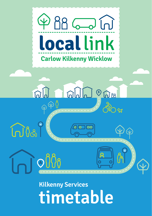

# **Kilkenny Services**timetable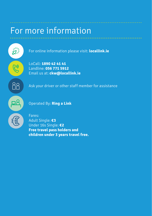## For more information



 $\mathbb{R}^{\mathfrak{d}}$ 

For online information please visit: **locallink.ie** 

LoCall: **1890 42 41 41** Landline: **056 771 5912** Email us at: **ckw@locallink.ie**



Ask your driver or other staff member for assistance



Operated By: **Ring a Link**

Fares: Adult Single: **€3** Under 16s Single: **€2 Free travel pass holders and children under 3 years travel free.**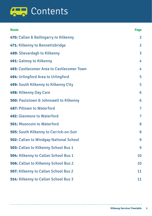## **Contents**

| <b>Route</b>                                  | Page           |
|-----------------------------------------------|----------------|
| 470: Callan & Ballingarry to Kilkenny         | $\overline{c}$ |
| 471: Kilkenny to Bennettsbridge               | $\overline{2}$ |
| <b>489: Slievardagh to Kilkenny</b>           | $\overline{3}$ |
| 491: Galmoy to Kilkenny                       | 4              |
| 493: Castlecomer Area to Castlecomer Town     | 4              |
| 494: Urlingford Area to Urlingford            | 5              |
| 499: South Kilkenny to Kilkenny City          | 5              |
| 498: Kilkenny Day Care                        | 6              |
| 500: Paulstown & Johnswell to Kilkenny        | 6              |
| 487: Piltown to Waterford                     | $\overline{7}$ |
| <b>492: Glenmore to Waterford</b>             | $\overline{7}$ |
| <b>501: Mooncoin to Waterford</b>             | 8              |
| 505: South Kilkenny to Carrick-on-Suir        | 8              |
| <b>502: Callan to Windgap National School</b> | 9              |
| 503: Callan to Kilkenny School Bus 1          | 9              |
| 504: Kilkenny to Callan School Bus 1          | 10             |
| <b>506: Callan to Kilkenny School Bus 2</b>   | 10             |
| <b>507: Kilkenny to Callan School Bus 2</b>   | 11             |
| 514: Kilkenny to Callan School Bus 3          | 11             |

--------------

. . . . . . . . . .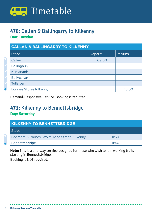<span id="page-3-0"></span>

#### **470:** Callan & Ballingarry to Kilkenny **Day: Tuesday**

| <b>CALLAN &amp; BALLINGARRY TO KILKENNY</b> |                |         |  |  |
|---------------------------------------------|----------------|---------|--|--|
| <b>Stops</b>                                | <b>Departs</b> | Returns |  |  |
| Callan                                      | 09:00          |         |  |  |
| <b>Ballingarry</b>                          |                |         |  |  |
| Kilmanagh                                   |                |         |  |  |
| <b>Ballycallan</b>                          |                |         |  |  |
| Tullaroan                                   |                |         |  |  |
| Dunnes Stores Kilkenny                      |                | 13:00   |  |  |

Demand-Responsive Service. Booking is required.

#### **471:** Kilkenny to Bennettsbridge **Day: Saturday**

| <b>KILKENNY TO BENNETTSBRIDGE</b>             |       |  |  |
|-----------------------------------------------|-------|--|--|
| Stops                                         |       |  |  |
| Padmore & Barnes, Wolfe Tone Street, Kilkenny | 11.30 |  |  |
| Bennettsbridge                                | 11.40 |  |  |

**Note:** This is a one-way service designed for those who wish to join walking trails starting in Bennettsbridge.

Booking is NOT required.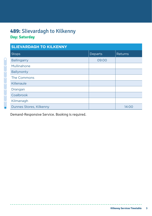#### <span id="page-4-0"></span>**489:** Slievardagh to Kilkenny **Day: Saturday**

| <b>SLIEVARDAGH TO KILKENNY</b> |                |         |  |  |
|--------------------------------|----------------|---------|--|--|
| <b>Stops</b>                   | <b>Departs</b> | Returns |  |  |
| <b>Ballingarry</b>             | 09:00          |         |  |  |
| Mullinahone                    |                |         |  |  |
| Ballynonty                     |                |         |  |  |
| The Commons                    |                |         |  |  |
| Killenaule                     |                |         |  |  |
| Drangan                        |                |         |  |  |
| Coalbrook                      |                |         |  |  |
| Kilmanagh                      |                |         |  |  |
| Dunnes Stores, Kilkenny        |                | 14:00   |  |  |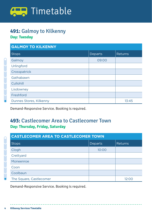<span id="page-5-0"></span>

#### **491:** Galmoy to Kilkenny **Day: Tuesday**

| <b>GALMOY TO KILKENNY</b> |                |         |  |
|---------------------------|----------------|---------|--|
| Stops                     | <b>Departs</b> | Returns |  |
| Galmoy                    | 09:00          |         |  |
| Urlingford                |                |         |  |
| Crosspatrick              |                |         |  |
| Gathabawn                 |                |         |  |
| Cullohill                 |                |         |  |
| Lisdowney                 |                |         |  |
| Freshford                 |                |         |  |
| Dunnes Stores, Kilkenny   |                | 13:45   |  |

Demand-Responsive Service. Booking is required.

#### **493:** Castlecomer Area to Castlecomer Town **Day: Thursday, Friday, Saturday**

| <b>CASTLECOMER AREA TO CASTLECOMER TOWN</b> |         |         |  |  |
|---------------------------------------------|---------|---------|--|--|
| Stops,                                      | Departs | Returns |  |  |
| Clogh                                       | 10:00   |         |  |  |
| Crettyard                                   |         |         |  |  |
| Moneenroe                                   |         |         |  |  |
| Coon                                        |         |         |  |  |
| Coolbaun                                    |         |         |  |  |
| The Square, Castlecomer                     |         | 12:00   |  |  |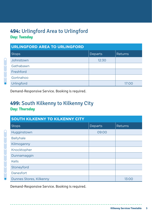#### <span id="page-6-0"></span>**494:** Urlingford Area to Urlingford **Day: Tuesday**

| <b>URLINGFORD AREA TO URLINGFORD</b> |                |         |
|--------------------------------------|----------------|---------|
| <b>Stops</b>                         | <b>Departs</b> | Returns |
| Johnstown                            | 12:30          |         |
| Gathabawn                            |                |         |
| Freshford                            |                |         |
| Gortnahoo                            |                |         |
| Urlingford                           |                | 17:00   |

Demand-Responsive Service. Booking is required.

#### **499:** South Kilkenny to Kilkenny City **Day: Thursday**

| <b>SOUTH KILKENNY TO KILKENNY CITY</b> |                |                |  |
|----------------------------------------|----------------|----------------|--|
| <b>Stops</b>                           | <b>Departs</b> | <b>Returns</b> |  |
| Hugginstown                            | 09:00          |                |  |
| <b>Ballyhale</b>                       |                |                |  |
| Kilmoganny                             |                |                |  |
| Knocktopher                            |                |                |  |
| Dunnamaggin                            |                |                |  |
| Kells                                  |                |                |  |
| Stoneyford                             |                |                |  |
| Danesfort                              |                |                |  |
| Dunnes Stores, Kilkenny                |                | 13:00          |  |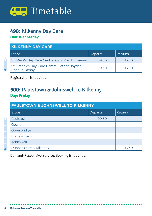<span id="page-7-0"></span>

#### **498:** Kilkenny Day Care **Day: Wednesday**

| <b>KILKENNY DAY CARE</b>                                       |         |         |  |  |
|----------------------------------------------------------------|---------|---------|--|--|
| <b>Stops</b>                                                   | Departs | Returns |  |  |
| St. Mary's Day Care Centre, Gaol Road, Kilkenny                | 09:30   | 15:30   |  |  |
| St. Patrick's Day Care Centre, Father Hayden<br>Road, Kilkenny | 09:30   | 15:30   |  |  |

Registration is required.

#### **500:** Paulstown & Johnswell to Kilkenny **Day: Friday**

| <b>PAULSTOWN &amp; JOHNSWELL TO KILKENNY</b> |                |         |  |  |
|----------------------------------------------|----------------|---------|--|--|
| <b>Stops</b>                                 | <b>Departs</b> | Returns |  |  |
| Paulstown                                    | 09:30          |         |  |  |
| Gowran                                       |                |         |  |  |
| Goresbridge                                  |                |         |  |  |
| Freneystown                                  |                |         |  |  |
| Johnswell                                    |                |         |  |  |
| Dunnes Stores, Kilkenny                      |                | 13:30   |  |  |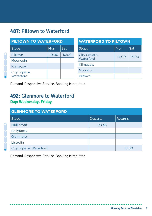## <span id="page-8-0"></span>**487:** Piltown to Waterford

| <b>PILTOWN TO WATERFORD</b> |       |       | <b>WATERFORD TO PILTOWN,</b> |       |       |
|-----------------------------|-------|-------|------------------------------|-------|-------|
| <b>Stops</b>                | Mon   | Sat   | <b>Stops</b>                 | Mon   | Sat   |
| Piltown                     | 10:00 | 10:00 | City Square,                 | 14:00 | 13:00 |
| Mooncoin                    |       |       | Waterford                    |       |       |
| Kilmacow                    |       |       | Kilmacow                     |       |       |
| City Square,                |       |       | Mooncoin                     |       |       |
| Waterford                   |       |       | Piltown                      |       |       |

Demand-Responsive Service. Booking is required.

#### **492:** Glenmore to Waterford **Day: Wednesday, Friday**

| <b>GLENMORE TO WATERFORD</b> |                |                |
|------------------------------|----------------|----------------|
| Stops                        | <b>Departs</b> | <b>Returns</b> |
| Mullinavat                   | 08:45          |                |
| <b>Ballyfacey</b>            |                |                |
| Glenmore                     |                |                |
| Listrolin                    |                |                |
| City Square, Waterford       |                | 13:00          |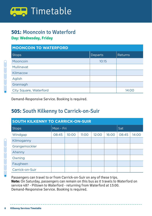<span id="page-9-0"></span>

#### **501:** Mooncoin to Waterford **Day: Wednesday, Friday**

| <b>MOONCOIN TO WATERFORD</b> |                |                |
|------------------------------|----------------|----------------|
| <b>Stops</b>                 | <b>Departs</b> | <b>Returns</b> |
| Mooncoin                     | 10:15          |                |
| Mullinavat                   |                |                |
| Kilmacow                     |                |                |
| Aglish                       |                |                |
| Grannagh                     |                |                |
| City Square, Waterford       |                | 14:00          |

Demand-Responsive Service. Booking is required.

## **505:** South Kilkenny to Carrick-on-Suir

| <b>SOUTH KILKENNY TO CARRICK-ON-SUIR</b> |           |       |              |       |       |       |       |
|------------------------------------------|-----------|-------|--------------|-------|-------|-------|-------|
| <b>Stops</b>                             | Mon - Fri |       |              |       |       | Sat   |       |
| Windgap                                  | 08:45     | 10:00 | <b>11:00</b> | 12:00 | 16:00 | 08:45 | 14:00 |
| Kilmoganny                               |           |       |              |       |       |       |       |
| Grangemockler                            |           |       |              |       |       |       |       |
| Ahenny                                   |           |       |              |       |       |       |       |
| Owning                                   |           |       |              |       |       |       |       |
| Faugheen                                 |           |       |              |       |       |       |       |
| Carrick-on-Suir                          |           |       |              |       |       |       |       |

Passengers can travel to or from Carrick-on-Suir on any of these trips. **Note:** On Saturday, passengers can remain on this bus as it travels to Waterford on service 487 - Piltown to Waterford - returning from Waterford at 13:00. Demand-Responsive Service. Booking is required.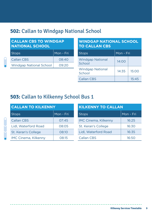## <span id="page-10-0"></span>**502:** Callan to Windgap National School

#### **CALLAN CBS TO WINDGAP NATIONAL SCHOOL**

| <b>Stops</b>                   | Mon - Fri |
|--------------------------------|-----------|
| Callan CBS                     | 08:40     |
| <b>Windgap National School</b> | 09:20     |

#### **WINDGAP NATIONAL SCHOOL TO CALLAN CBS**

| Stops                             | Mon - Fri |       |  |
|-----------------------------------|-----------|-------|--|
| <b>Windgap National</b><br>School | 14:00     |       |  |
| <b>Windgap National</b><br>School | 14:35     | 15:00 |  |
| Callan CBS                        |           | 15.45 |  |

### **503:** Callan to Kilkenny School Bus 1

| <b>CALLAN TO KILKENNY</b>   |           | <b>KILKENNY TO CALLAN</b>   |             |  |
|-----------------------------|-----------|-----------------------------|-------------|--|
| Stops                       | Mon - Fri | <b>Stops</b>                | l Mon - Fri |  |
| <b>Callan CBS</b>           | O7:45     | <b>IMC Cinema, Kilkenny</b> | 16:25       |  |
| Lidl, Waterford Road        | 08:05     | St. Keran's College         | 16:30       |  |
| St. Keran's College         | 08:10     | Lidl, Waterford Road        | 16:35       |  |
| <b>IMC Cinema, Kilkenny</b> | 08:15     | <b>Callan CBS</b>           | 16:50       |  |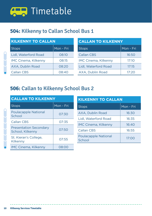## <span id="page-11-0"></span>**4.5** Timetable

## **504:** Kilkenny to Callan School Bus 1

| <b>KILKENNY TO CALLAN</b>   |           | <b>CALLAN TO KILKENNY</b>   |           |  |
|-----------------------------|-----------|-----------------------------|-----------|--|
| <b>Stops</b>                | Mon - Fri | <b>Stops</b>                | Mon - Fri |  |
| Lidl, Waterford Road        | 08:10     | <b>Callan CBS</b>           | 16:50     |  |
| <b>IMC Cinema, Kilkenny</b> | 08:15     | <b>IMC Cinema, Kilkenny</b> | 17:10     |  |
| AXA, Dublin Road            | 08:20     | Lidl, Waterford Road        | 17:15     |  |
| <b>Callan CBS</b>           | 08:40     | AXA, Dublin Road            | 17:20     |  |

### **506:** Callan to Kilkenny School Bus 2

| <b>CALLAN TO KILKENNY</b>                         |           | <b>KILKENNY TO CALLAN</b>             |           |  |
|---------------------------------------------------|-----------|---------------------------------------|-----------|--|
| <b>Stops</b>                                      | Mon - Fri | Stops                                 | Mon - Fri |  |
| <b>Poulacapple National</b><br>School             | 07:30     | AXA, Dublin Road                      | 16:30     |  |
|                                                   |           | Lidl, Waterford Road                  | 16:35     |  |
| <b>Callan CBS</b>                                 | 07:35     | <b>IMC Cinema, Kilkenny</b>           | 16:40     |  |
| <b>Presentation Secondary</b><br>School, Kilkenny | 07:50     | <b>Callan CBS</b>                     | 16:55     |  |
| St. Kieran's College,<br>Kilkenny                 | 07:55     | <b>Poulacapple National</b><br>School | 17:00     |  |
| <b>IMC Cinema, Kilkenny</b>                       | 08:00     |                                       |           |  |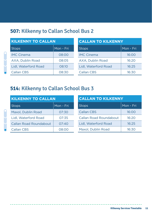## <span id="page-12-0"></span>**507:** Kilkenny to Callan School Bus 2

| <b>KILKENNY TO CALLAN</b> |           | <b>CALLAN TO KILKENNY</b> |           |  |
|---------------------------|-----------|---------------------------|-----------|--|
| <b>Stops</b>              | Mon - Fri | <b>Stops</b>              | Mon - Fri |  |
| <b>IMC Cinema</b>         | 08:00     | <b>IMC Cinema</b>         | 16:00     |  |
| AXA, Dublin Road          | 08:05     | AXA, Dublin Road          | 16:20     |  |
| Lidl, Waterford Road      | 08:10     | Lidl, Waterford Road      | 16:25     |  |
| <b>Callan CBS</b>         | 08:30     | Callan CBS                | 16:30     |  |

## **514:** Kilkenny to Callan School Bus 3

| <b>KILKENNY TO CALLAN</b> |           | <b>CALLAN TO KILKENNY</b> |             |  |
|---------------------------|-----------|---------------------------|-------------|--|
| <b>Stops</b>              | Mon - Fri | <b>Stops</b>              | l Mon - Fri |  |
| Maxol, Dublin Road        | 07:30     | <b>Callan CBS</b>         | 16:00       |  |
| Lidl, Waterford Road      | 07:35     | Callan Road Roundabout    | 16:20       |  |
| Callan Road Roundabout    | 07:40     | Lidl, Waterford Road      | 16:25       |  |
| Callan CBS                | 08:00     | Maxol, Dublin Road        | 16:30       |  |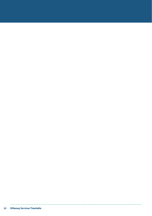**Kilkenny Services Timetable**